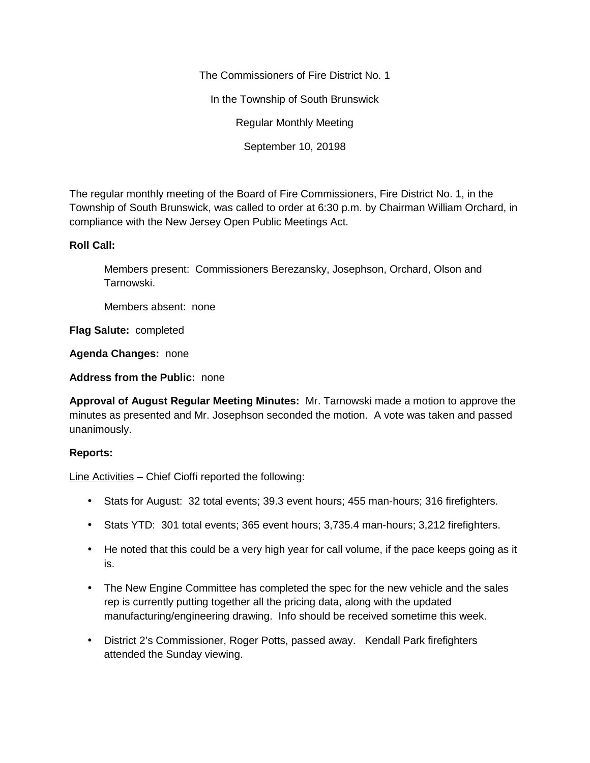The Commissioners of Fire District No. 1 In the Township of South Brunswick Regular Monthly Meeting September 10, 20198

The regular monthly meeting of the Board of Fire Commissioners, Fire District No. 1, in the Township of South Brunswick, was called to order at 6:30 p.m. by Chairman William Orchard, in compliance with the New Jersey Open Public Meetings Act.

## **Roll Call:**

Members present: Commissioners Berezansky, Josephson, Orchard, Olson and Tarnowski.

Members absent: none

**Flag Salute:** completed

**Agenda Changes:** none

**Address from the Public:** none

**Approval of August Regular Meeting Minutes:** Mr. Tarnowski made a motion to approve the minutes as presented and Mr. Josephson seconded the motion. A vote was taken and passed unanimously.

## **Reports:**

Line Activities – Chief Cioffi reported the following:

- Stats for August: 32 total events; 39.3 event hours; 455 man-hours; 316 firefighters.
- Stats YTD: 301 total events; 365 event hours; 3,735.4 man-hours; 3,212 firefighters.
- He noted that this could be a very high year for call volume, if the pace keeps going as it is.
- The New Engine Committee has completed the spec for the new vehicle and the sales rep is currently putting together all the pricing data, along with the updated manufacturing/engineering drawing. Info should be received sometime this week.
- District 2's Commissioner, Roger Potts, passed away. Kendall Park firefighters attended the Sunday viewing.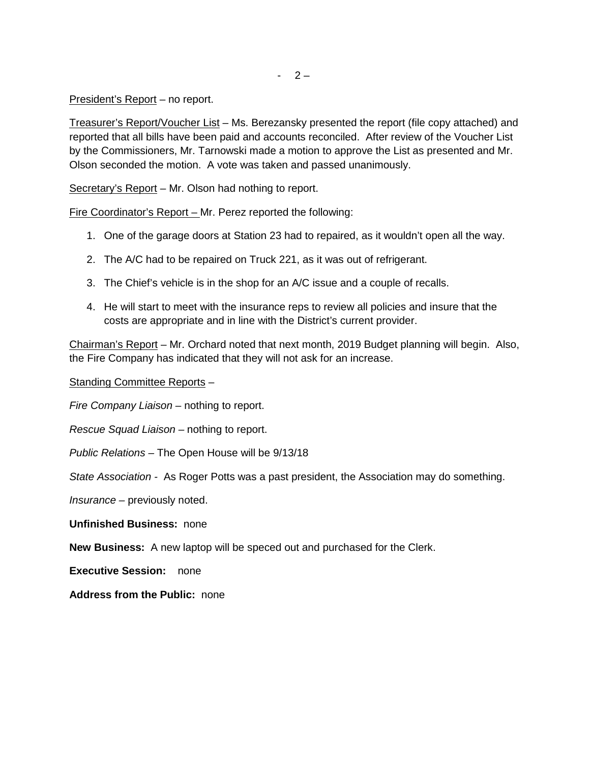President's Report – no report.

Treasurer's Report/Voucher List – Ms. Berezansky presented the report (file copy attached) and reported that all bills have been paid and accounts reconciled. After review of the Voucher List by the Commissioners, Mr. Tarnowski made a motion to approve the List as presented and Mr. Olson seconded the motion. A vote was taken and passed unanimously.

Secretary's Report – Mr. Olson had nothing to report.

Fire Coordinator's Report – Mr. Perez reported the following:

- 1. One of the garage doors at Station 23 had to repaired, as it wouldn't open all the way.
- 2. The A/C had to be repaired on Truck 221, as it was out of refrigerant.
- 3. The Chief's vehicle is in the shop for an A/C issue and a couple of recalls.
- 4. He will start to meet with the insurance reps to review all policies and insure that the costs are appropriate and in line with the District's current provider.

Chairman's Report – Mr. Orchard noted that next month, 2019 Budget planning will begin. Also, the Fire Company has indicated that they will not ask for an increase.

Standing Committee Reports –

*Fire Company Liaison –* nothing to report.

*Rescue Squad Liaison –* nothing to report.

*Public Relations –* The Open House will be 9/13/18

*State Association -* As Roger Potts was a past president, the Association may do something.

*Insurance –* previously noted.

**Unfinished Business:** none

**New Business:** A new laptop will be speced out and purchased for the Clerk.

**Executive Session:** none

**Address from the Public:** none